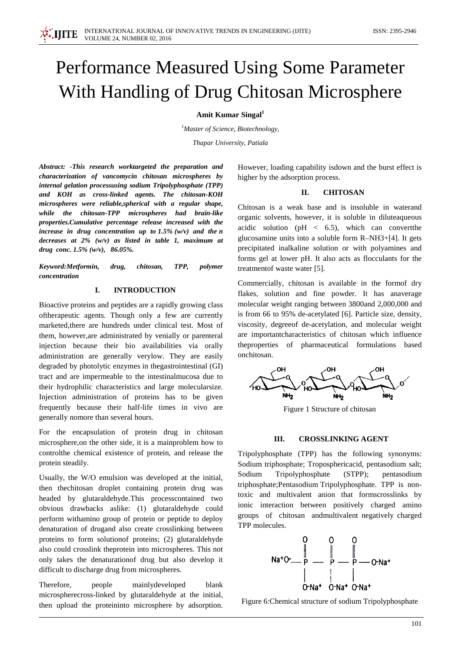# Performance Measured Using Some Parameter With Handling of Drug Chitosan Microsphere

**Amit Kumar Singal**<sup>1</sup>

*1 Master of Science, Biotechnology,*

*Thapar University, Patiala*

*Abstract: -This research worktargeted the preparation and characterization of vancomycin chitosan microspheres by internal gelation processusing sodium Tripolyphosphate (TPP) and KOH as cross-linked agents. The chitosan-KOH microspheres were reliable,spherical with a regular shape, while the chitosan-TPP microspheres had brain-like properties.Cumulative percentage release increased with the increase in drug concentration up to 1.5% (w/v) and the n decreases at 2% (w/v) as listed in table 1, maximum at drug conc. 1.5% (w/v), 86.05%.*

*Keyword:Metformin, drug, chitosan, TPP, polymer concentration*

## **I. INTRODUCTION**

Bioactive proteins and peptides are a rapidly growing class oftherapeutic agents. Though only a few are currently marketed,there are hundreds under clinical test. Most of them, however,are administrated by venially or parenteral injection because their bio availabilities via orally administration are generally verylow. They are easily degraded by photolytic enzymes in thegastrointestinal (GI) tract and are impermeable to the intestinalmucosa due to their hydrophilic characteristics and large molecularsize. Injection administration of proteins has to be given frequently because their half-life times in vivo are generally nomore than several hours.

For the encapsulation of protein drug in chitosan microsphere,on the other side, it is a mainproblem how to controlthe chemical existence of protein, and release the protein steadily.

Usually, the W/O emulsion was developed at the initial, then thechitosan droplet containing protein drug was headed by glutaraldehyde.This processcontained two obvious drawbacks aslike: (1) glutaraldehyde could perform withamino group of protein or peptide to deploy denaturation of drugand also create crosslinking between proteins to form solutionof proteins; (2) glutaraldehyde also could crosslink theprotein into microspheres. This not only takes the denaturationof drug but also develop it difficult to discharge drug from microspheres.

Therefore, people mainlydeveloped blank microspherecross-linked by glutaraldehyde at the initial, then upload the proteininto microsphere by adsorption.

However, loading capability isdown and the burst effect is higher by the adsorption process.

## **II. CHITOSAN**

Chitosan is a weak base and is insoluble in waterand organic solvents, however, it is soluble in diluteaqueous acidic solution ( $pH < 6.5$ ), which can convert the glucosamine units into a soluble form R–NH3+[4]. It gets precipitated inalkaline solution or with polyamines and forms gel at lower pH. It also acts as flocculants for the treatmentof waste water [5].

Commercially, chitosan is available in the formof dry flakes, solution and fine powder. It has anaverage molecular weight ranging between 3800and 2,000,000 and is from 66 to 95% de-acetylated [6]. Particle size, density, viscosity, degreeof de-acetylation, and molecular weight are importantcharacteristics of chitosan which influence theproperties of pharmaceutical formulations based onchitosan.



Figure 1 Structure of chitosan

## **III. CROSSLINKING AGENT**

Tripolyphosphate (TPP) has the following synonyms: Sodium triphosphate; Troposphericacid, pentasodium salt; Sodium Tripolyphosphate (STPP); pentasodium triphosphate;Pentasodium Tripolyphosphate. TPP is nontoxic and multivalent anion that formscrosslinks by ionic interaction between positively charged amino groups of chitosan andmultivalent negatively charged TPP molecules.



Figure 6:Chemical structure of sodium Tripolyphosphate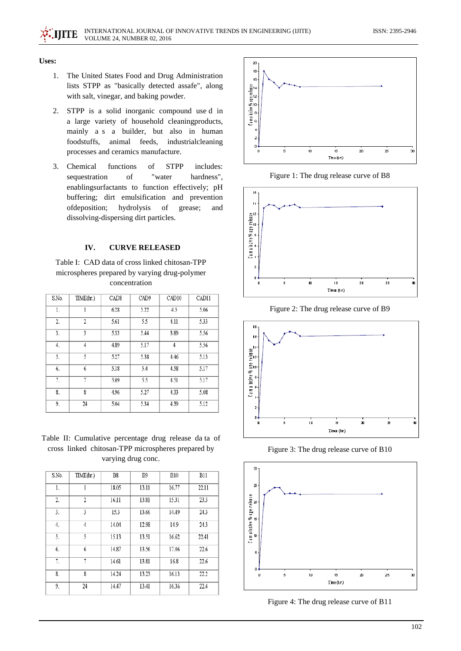#### **Uses:**

- 1. The United States Food and Drug Administration lists STPP as "basically detected assafe", along with salt, vinegar, and baking powder.
- 2. STPP is a solid inorganic compound use d in a large variety of household cleaningproducts, mainly a s a builder, but also in human foodstuffs, animal feeds, industrialcleaning processes and ceramics manufacture.
- 3. Chemical functions of STPP includes: sequestration of "water hardness", enablingsurfactants to function effectively; pH buffering; dirt emulsification and prevention ofdeposition; hydrolysis of grease; and dissolving-dispersing dirt particles.

## **IV. CURVE RELEASED**

Table I: CAD data of cross linked chitosan-TPP microspheres prepared by varying drug-polymer concentration

| S.No. | TIME(hr.)      | CAD <sub>8</sub> | CAD <sub>9</sub> | CAD10          | CAD11 |
|-------|----------------|------------------|------------------|----------------|-------|
| 1.    | 1              | 6.28             | 5.22             | 4.5            | 5.06  |
| 2.    | 2              | 5.61             | 5.5              | 4.11           | 5.33  |
| 3.    | 3              | 5.33             | 5.44             | 3.89           | 5.56  |
| 4.    | $\overline{4}$ | 4.89             | 5.17             | $\overline{4}$ | 5.56  |
| 5.    | 5              | 5.27             | 5.38             | 4.46           | 5.13  |
| 6.    | 6              | 5.18             | 5.4              | 4.58           | 5.17  |
| 7.    | 7              | 5.09             | 5.5              | 4.51           | 5.17  |
| 8.    | 8              | 4.96             | 5.27             | 4.33           | 5.08  |
| 9.    | 24             | 5.04             | 5.34             | 4.39           | 5.12  |

Table II: Cumulative percentage drug release da ta of cross linked chitosan-TPP microspheres prepared by varying drug conc.

| S.No. | TIME(hr.) | B8    | B <sub>9</sub> | <b>B10</b> | <b>B11</b> |
|-------|-----------|-------|----------------|------------|------------|
| 1.    |           | 18.05 | 13.11          | 16.77      | 22.11      |
| 2.    | 2         | 16.11 | 13.81          | 15.31      | 23.3       |
| 3.    | 3         | 15.3  | 13.66          | 14.49      | 24.3       |
| 4.    | 4         | 14.04 | 12.98          | 14.9       | 24.3       |
| 5.    | 5         | 15.13 | 13.51          | 16.62      | 22.41      |
| 6.    | 6         | 14.87 | 13.56          | 17.06      | 22.6       |
| 7.    | 7         | 14.61 | 13.81          | 16.8       | 22.6       |
| 8.    | 8         | 14.24 | 13.23          | 16.13      | 22.2       |
| 9.    | 24        | 14.47 | 13.41          | 16.36      | 22.4       |



Figure 1: The drug release curve of B8



Figure 2: The drug release curve of B9



Figure 3: The drug release curve of B10



Figure 4: The drug release curve of B11